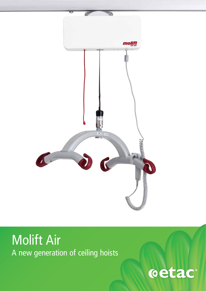

# Molift Air A new generation of ceiling hoists

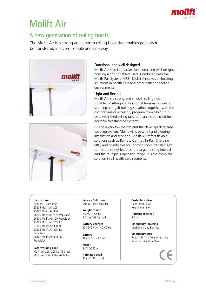

## Molift Air

## A new generation of ceiling hoists

The Molift Air is a strong and smooth ceiling hoist that enables patients to be transferred in a comfortable and safe way.





#### Functional and well designed

Molift Air is an innovative, functional and well-designed hoisting aid for disabled users. Combined with the Molift Rail System (MRS), Molift Air solves all hoisting situations in health care and other patient handling environments.

#### Light and flexible

Molift Air is a strong and smooth ceiling hoist suitable for sitting and horizontal transfers as well as standing and gait training situations together with the comprehensive accessory program from Molift. It is used with fixed ceiling rails, but can also be used for portable freestanding systems.

Due to a very low weight and the clever quick release coupling system, Molift Air is easy to handle during installation and servicing. Molift Air offers flexible solutions such as Remote Control, In-Rail-Charging (IRC) and possibilities for room-to-room transfer. Add to this the safety features, the large hoisting interval and the multiple suspension range. It is the complete solution in all health care segments.

#### **Description**

Item no. Description 25205 Molift Air 205 25300 Molift Air 300 26205 Molift Air 205 Propulsion 26300 Molift Air 300 Propulsion 27205 Molift Air 205 IRC 27300 Molift Air 300 IRC 28205 Molift Air 205 IRC Propulsion 28300 Molift Air 300 IRC Propulsion

**Safe Working Load** Molift Air 205: 205 kg (450 lbs) Molift Air 300: 300kg (660 lbs)

**Service Software** Service Tool 4 Included

**Weight of unit** 7.5 KG / 16.5 lbs 1.4 in/s 198 lbs load

**Battery charger** 100-240 V AC, 40-60 Hz

**Battery** 26.4 V NiMh 2.2 Ah

**Motor** 24 V DC 12 A

**Hoisting speed** 35mm/s 90kg load **Protection class** Handcontrol IPX4 Hoist motor IPX4

**Hoisting intervall** 3.0 m

**Emergency lowering** Mechanical and Electrical

**Emergency-stop** Reachable from floor with string Reset possible from floor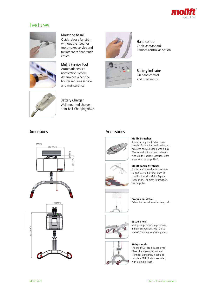

### Features





#### Mounting to rail

Quick release function without the need for tools makes service and maintenance that much easier.

#### Molift Service Tool Automatic service notification system determines when the hoister requires service

and maintenance.



Battery indicator On hand control and hoist motor.

Hand control Cable as standard. Remote control as option



Battery Charger Wall mounted charger or In-Rail-Charging (IRC).

#### Dimensions **Accessories**







#### **Molift Stretcher**

A user-friendly and flexible scoop stretcher for hospitals and institutions. Approved and compatible with X-Ray, CT-scan and MRI and works directly with Molift 4-point suspension. More information on page 42/43.

#### **Molift Fabric Stretcher**

A soft fabric stretcher for horizontal and lateral hoisting. Used in combination with Molift 8-point suspension. For more information, see page 44.

Driven horizontal transfer along rail.







#### **Suspensions** Multiple 2-point and 4 point alu--

**Propulsion Motor**

minium suspensions with Quick release coupling to hoisting strap.

#### **Weight scale**

The Molift Air scale is approved Class III and complies with all technical standards. It can also calculate BMI (Body Mass Index) with a simple touch.